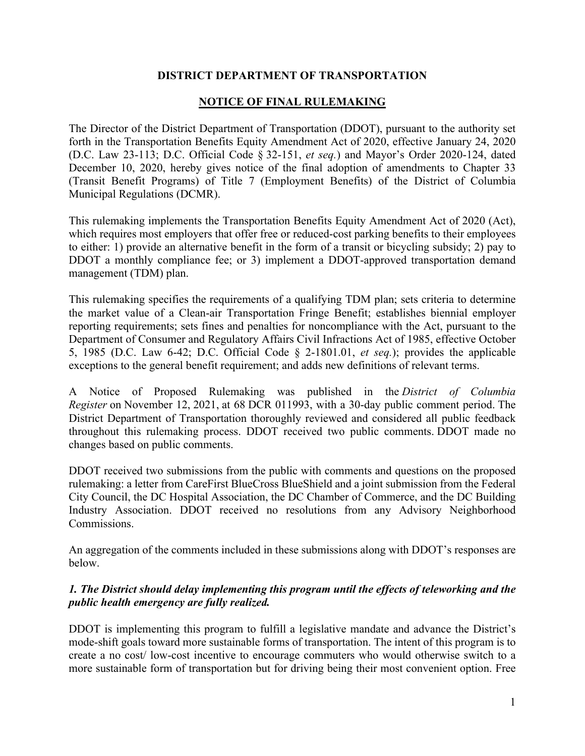### **DISTRICT DEPARTMENT OF TRANSPORTATION**

# **NOTICE OF FINAL RULEMAKING**

The Director of the District Department of Transportation (DDOT), pursuant to the authority set forth in the Transportation Benefits Equity Amendment Act of 2020, effective January 24, 2020 (D.C. Law 23-113; D.C. Official Code § 32-151, *et seq.*) and Mayor's Order 2020-124, dated December 10, 2020, hereby gives notice of the final adoption of amendments to Chapter 33 (Transit Benefit Programs) of Title 7 (Employment Benefits) of the District of Columbia Municipal Regulations (DCMR).

This rulemaking implements the Transportation Benefits Equity Amendment Act of 2020 (Act), which requires most employers that offer free or reduced-cost parking benefits to their employees to either: 1) provide an alternative benefit in the form of a transit or bicycling subsidy; 2) pay to DDOT a monthly compliance fee; or 3) implement a DDOT-approved transportation demand management (TDM) plan.

This rulemaking specifies the requirements of a qualifying TDM plan; sets criteria to determine the market value of a Clean-air Transportation Fringe Benefit; establishes biennial employer reporting requirements; sets fines and penalties for noncompliance with the Act, pursuant to the Department of Consumer and Regulatory Affairs Civil Infractions Act of 1985, effective October 5, 1985 (D.C. Law 6-42; D.C. Official Code § 2-1801.01, *et seq.*); provides the applicable exceptions to the general benefit requirement; and adds new definitions of relevant terms.

A Notice of Proposed Rulemaking was published in the *District of Columbia Register* on November 12, 2021, at 68 DCR 011993, with a 30-day public comment period. The District Department of Transportation thoroughly reviewed and considered all public feedback throughout this rulemaking process. DDOT received two public comments. DDOT made no changes based on public comments.

DDOT received two submissions from the public with comments and questions on the proposed rulemaking: a letter from CareFirst BlueCross BlueShield and a joint submission from the Federal City Council, the DC Hospital Association, the DC Chamber of Commerce, and the DC Building Industry Association. DDOT received no resolutions from any Advisory Neighborhood Commissions.

An aggregation of the comments included in these submissions along with DDOT's responses are below.

# *1. The District should delay implementing this program until the effects of teleworking and the public health emergency are fully realized.*

DDOT is implementing this program to fulfill a legislative mandate and advance the District's mode-shift goals toward more sustainable forms of transportation. The intent of this program is to create a no cost/ low-cost incentive to encourage commuters who would otherwise switch to a more sustainable form of transportation but for driving being their most convenient option. Free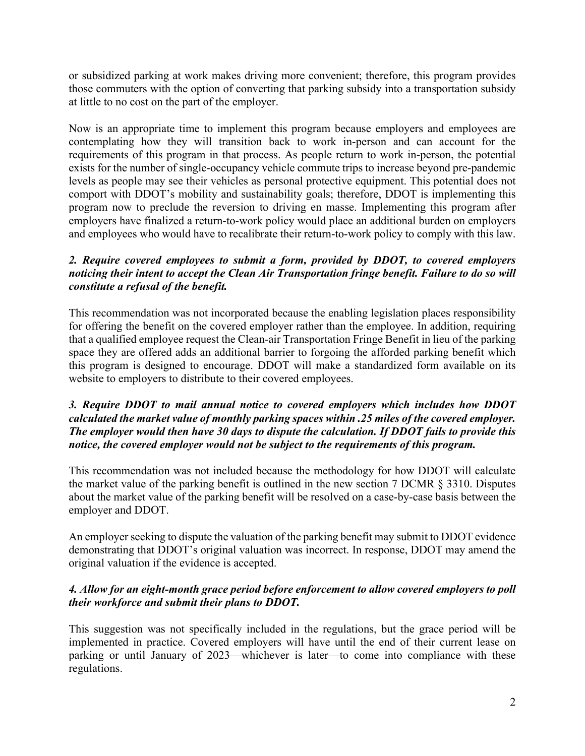or subsidized parking at work makes driving more convenient; therefore, this program provides those commuters with the option of converting that parking subsidy into a transportation subsidy at little to no cost on the part of the employer.

Now is an appropriate time to implement this program because employers and employees are contemplating how they will transition back to work in-person and can account for the requirements of this program in that process. As people return to work in-person, the potential exists for the number of single-occupancy vehicle commute trips to increase beyond pre-pandemic levels as people may see their vehicles as personal protective equipment. This potential does not comport with DDOT's mobility and sustainability goals; therefore, DDOT is implementing this program now to preclude the reversion to driving en masse. Implementing this program after employers have finalized a return-to-work policy would place an additional burden on employers and employees who would have to recalibrate their return-to-work policy to comply with this law.

# *2. Require covered employees to submit a form, provided by DDOT, to covered employers noticing their intent to accept the Clean Air Transportation fringe benefit. Failure to do so will constitute a refusal of the benefit.*

This recommendation was not incorporated because the enabling legislation places responsibility for offering the benefit on the covered employer rather than the employee. In addition, requiring that a qualified employee request the Clean-air Transportation Fringe Benefit in lieu of the parking space they are offered adds an additional barrier to forgoing the afforded parking benefit which this program is designed to encourage. DDOT will make a standardized form available on its website to employers to distribute to their covered employees.

### *3. Require DDOT to mail annual notice to covered employers which includes how DDOT calculated the market value of monthly parking spaces within .25 miles of the covered employer. The employer would then have 30 days to dispute the calculation. If DDOT fails to provide this notice, the covered employer would not be subject to the requirements of this program.*

This recommendation was not included because the methodology for how DDOT will calculate the market value of the parking benefit is outlined in the new section 7 DCMR  $\S$  3310. Disputes about the market value of the parking benefit will be resolved on a case-by-case basis between the employer and DDOT.

An employer seeking to dispute the valuation of the parking benefit may submit to DDOT evidence demonstrating that DDOT's original valuation was incorrect. In response, DDOT may amend the original valuation if the evidence is accepted.

# *4. Allow for an eight-month grace period before enforcement to allow covered employers to poll their workforce and submit their plans to DDOT.*

This suggestion was not specifically included in the regulations, but the grace period will be implemented in practice. Covered employers will have until the end of their current lease on parking or until January of 2023—whichever is later—to come into compliance with these regulations.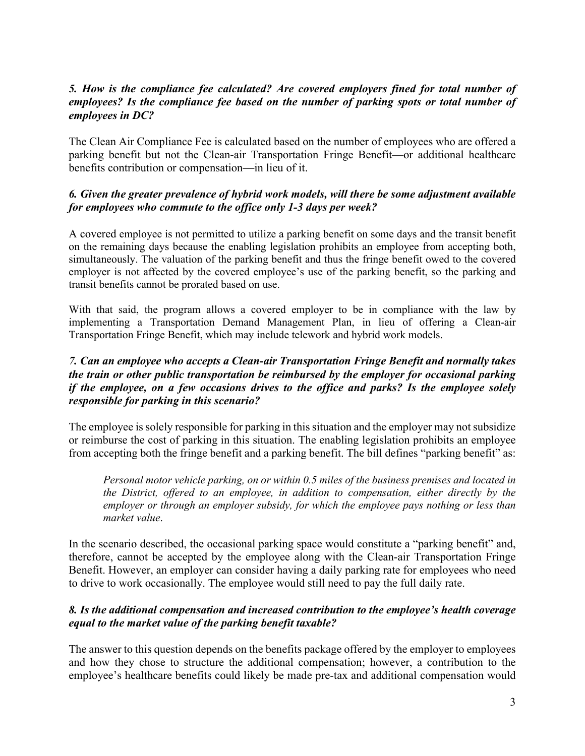# *5. How is the compliance fee calculated? Are covered employers fined for total number of employees? Is the compliance fee based on the number of parking spots or total number of employees in DC?*

The Clean Air Compliance Fee is calculated based on the number of employees who are offered a parking benefit but not the Clean-air Transportation Fringe Benefit—or additional healthcare benefits contribution or compensation—in lieu of it.

### *6. Given the greater prevalence of hybrid work models, will there be some adjustment available for employees who commute to the office only 1-3 days per week?*

A covered employee is not permitted to utilize a parking benefit on some days and the transit benefit on the remaining days because the enabling legislation prohibits an employee from accepting both, simultaneously. The valuation of the parking benefit and thus the fringe benefit owed to the covered employer is not affected by the covered employee's use of the parking benefit, so the parking and transit benefits cannot be prorated based on use.

With that said, the program allows a covered employer to be in compliance with the law by implementing a Transportation Demand Management Plan, in lieu of offering a Clean-air Transportation Fringe Benefit, which may include telework and hybrid work models.

### *7. Can an employee who accepts a Clean-air Transportation Fringe Benefit and normally takes the train or other public transportation be reimbursed by the employer for occasional parking if the employee, on a few occasions drives to the office and parks? Is the employee solely responsible for parking in this scenario?*

The employee is solely responsible for parking in this situation and the employer may not subsidize or reimburse the cost of parking in this situation. The enabling legislation prohibits an employee from accepting both the fringe benefit and a parking benefit. The bill defines "parking benefit" as:

*Personal motor vehicle parking, on or within 0.5 miles of the business premises and located in the District, offered to an employee, in addition to compensation, either directly by the employer or through an employer subsidy, for which the employee pays nothing or less than market value*.

In the scenario described, the occasional parking space would constitute a "parking benefit" and, therefore, cannot be accepted by the employee along with the Clean-air Transportation Fringe Benefit. However, an employer can consider having a daily parking rate for employees who need to drive to work occasionally. The employee would still need to pay the full daily rate.

# *8. Is the additional compensation and increased contribution to the employee's health coverage equal to the market value of the parking benefit taxable?*

The answer to this question depends on the benefits package offered by the employer to employees and how they chose to structure the additional compensation; however, a contribution to the employee's healthcare benefits could likely be made pre-tax and additional compensation would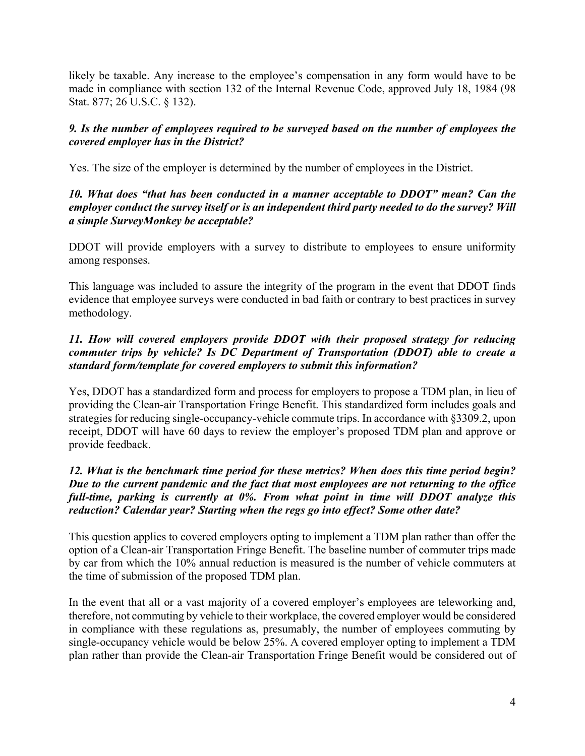likely be taxable. Any increase to the employee's compensation in any form would have to be made in compliance with section 132 of the Internal Revenue Code, approved July 18, 1984 (98 Stat. 877; 26 U.S.C. § 132).

# *9. Is the number of employees required to be surveyed based on the number of employees the covered employer has in the District?*

Yes. The size of the employer is determined by the number of employees in the District.

# *10. What does "that has been conducted in a manner acceptable to DDOT" mean? Can the employer conduct the survey itself or is an independent third party needed to do the survey? Will a simple SurveyMonkey be acceptable?*

DDOT will provide employers with a survey to distribute to employees to ensure uniformity among responses.

This language was included to assure the integrity of the program in the event that DDOT finds evidence that employee surveys were conducted in bad faith or contrary to best practices in survey methodology.

# *11. How will covered employers provide DDOT with their proposed strategy for reducing commuter trips by vehicle? Is DC Department of Transportation (DDOT) able to create a standard form/template for covered employers to submit this information?*

Yes, DDOT has a standardized form and process for employers to propose a TDM plan, in lieu of providing the Clean-air Transportation Fringe Benefit. This standardized form includes goals and strategies for reducing single-occupancy-vehicle commute trips. In accordance with §3309.2, upon receipt, DDOT will have 60 days to review the employer's proposed TDM plan and approve or provide feedback.

# *12. What is the benchmark time period for these metrics? When does this time period begin? Due to the current pandemic and the fact that most employees are not returning to the office full-time, parking is currently at 0%. From what point in time will DDOT analyze this reduction? Calendar year? Starting when the regs go into effect? Some other date?*

This question applies to covered employers opting to implement a TDM plan rather than offer the option of a Clean-air Transportation Fringe Benefit. The baseline number of commuter trips made by car from which the 10% annual reduction is measured is the number of vehicle commuters at the time of submission of the proposed TDM plan.

In the event that all or a vast majority of a covered employer's employees are teleworking and, therefore, not commuting by vehicle to their workplace, the covered employer would be considered in compliance with these regulations as, presumably, the number of employees commuting by single-occupancy vehicle would be below 25%. A covered employer opting to implement a TDM plan rather than provide the Clean-air Transportation Fringe Benefit would be considered out of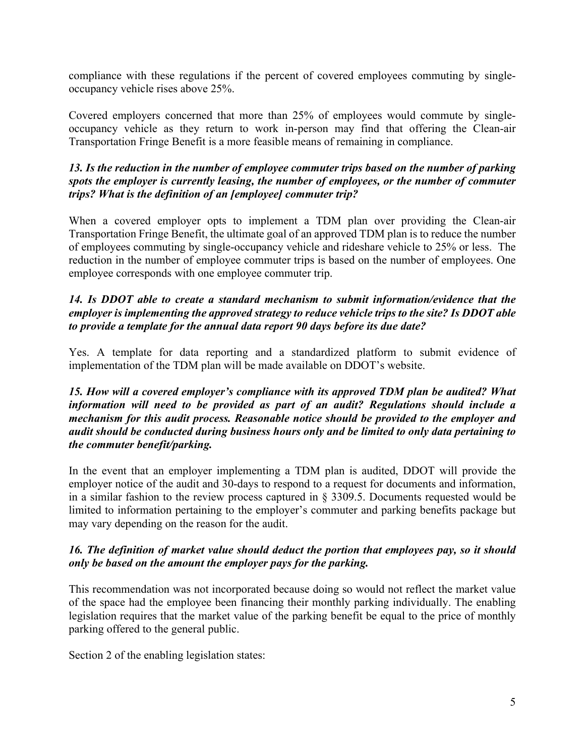compliance with these regulations if the percent of covered employees commuting by singleoccupancy vehicle rises above 25%.

Covered employers concerned that more than 25% of employees would commute by singleoccupancy vehicle as they return to work in-person may find that offering the Clean-air Transportation Fringe Benefit is a more feasible means of remaining in compliance.

# *13. Is the reduction in the number of employee commuter trips based on the number of parking spots the employer is currently leasing, the number of employees, or the number of commuter trips? What is the definition of an [employee] commuter trip?*

When a covered employer opts to implement a TDM plan over providing the Clean-air Transportation Fringe Benefit, the ultimate goal of an approved TDM plan is to reduce the number of employees commuting by single-occupancy vehicle and rideshare vehicle to 25% or less. The reduction in the number of employee commuter trips is based on the number of employees. One employee corresponds with one employee commuter trip.

# *14. Is DDOT able to create a standard mechanism to submit information/evidence that the employer is implementing the approved strategy to reduce vehicle trips to the site? Is DDOT able to provide a template for the annual data report 90 days before its due date?*

Yes. A template for data reporting and a standardized platform to submit evidence of implementation of the TDM plan will be made available on DDOT's website.

### *15. How will a covered employer's compliance with its approved TDM plan be audited? What information will need to be provided as part of an audit? Regulations should include a mechanism for this audit process. Reasonable notice should be provided to the employer and audit should be conducted during business hours only and be limited to only data pertaining to the commuter benefit/parking.*

In the event that an employer implementing a TDM plan is audited, DDOT will provide the employer notice of the audit and 30-days to respond to a request for documents and information, in a similar fashion to the review process captured in § 3309.5. Documents requested would be limited to information pertaining to the employer's commuter and parking benefits package but may vary depending on the reason for the audit.

# *16. The definition of market value should deduct the portion that employees pay, so it should only be based on the amount the employer pays for the parking.*

This recommendation was not incorporated because doing so would not reflect the market value of the space had the employee been financing their monthly parking individually. The enabling legislation requires that the market value of the parking benefit be equal to the price of monthly parking offered to the general public.

Section 2 of the enabling legislation states: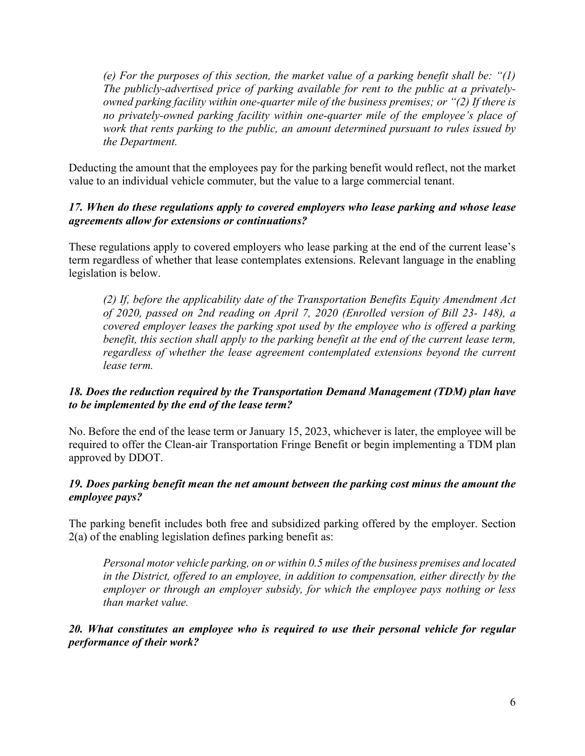*(e) For the purposes of this section, the market value of a parking benefit shall be: "(1) The publicly-advertised price of parking available for rent to the public at a privatelyowned parking facility within one-quarter mile of the business premises; or "(2) If there is no privately-owned parking facility within one-quarter mile of the employee's place of work that rents parking to the public, an amount determined pursuant to rules issued by the Department.*

Deducting the amount that the employees pay for the parking benefit would reflect, not the market value to an individual vehicle commuter, but the value to a large commercial tenant.

### *17. When do these regulations apply to covered employers who lease parking and whose lease agreements allow for extensions or continuations?*

These regulations apply to covered employers who lease parking at the end of the current lease's term regardless of whether that lease contemplates extensions. Relevant language in the enabling legislation is below.

*(2) If, before the applicability date of the Transportation Benefits Equity Amendment Act of 2020, passed on 2nd reading on April 7, 2020 (Enrolled version of Bill 23- 148), a covered employer leases the parking spot used by the employee who is offered a parking benefit, this section shall apply to the parking benefit at the end of the current lease term,*  regardless of whether the lease agreement contemplated extensions beyond the current *lease term.*

# *18. Does the reduction required by the Transportation Demand Management (TDM) plan have to be implemented by the end of the lease term?*

No. Before the end of the lease term or January 15, 2023, whichever is later, the employee will be required to offer the Clean-air Transportation Fringe Benefit or begin implementing a TDM plan approved by DDOT.

# *19. Does parking benefit mean the net amount between the parking cost minus the amount the employee pays?*

The parking benefit includes both free and subsidized parking offered by the employer. Section  $2(a)$  of the enabling legislation defines parking benefit as:

*Personal motor vehicle parking, on or within 0.5 miles of the business premises and located in the District, offered to an employee, in addition to compensation, either directly by the employer or through an employer subsidy, for which the employee pays nothing or less than market value.*

*20. What constitutes an employee who is required to use their personal vehicle for regular performance of their work?*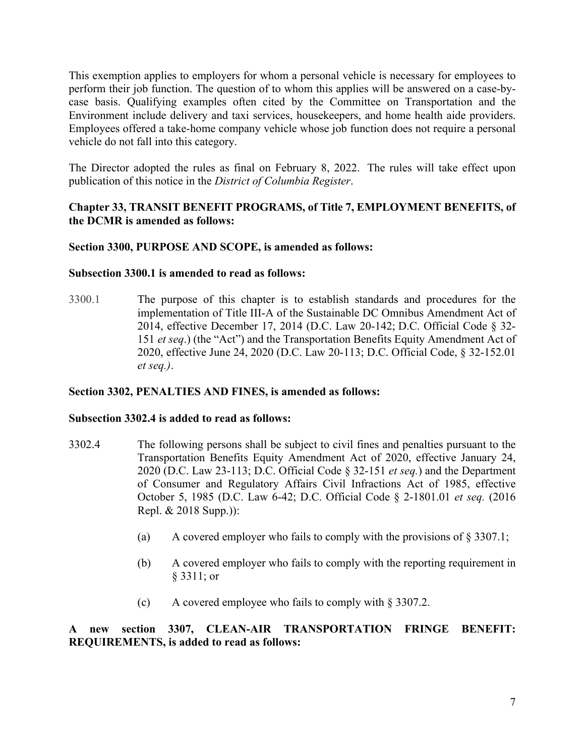This exemption applies to employers for whom a personal vehicle is necessary for employees to perform their job function. The question of to whom this applies will be answered on a case-bycase basis. Qualifying examples often cited by the Committee on Transportation and the Environment include delivery and taxi services, housekeepers, and home health aide providers. Employees offered a take-home company vehicle whose job function does not require a personal vehicle do not fall into this category.

The Director adopted the rules as final on February 8, 2022. The rules will take effect upon publication of this notice in the *District of Columbia Register*.

# **Chapter 33, TRANSIT BENEFIT PROGRAMS, of Title 7, EMPLOYMENT BENEFITS, of the DCMR is amended as follows:**

#### **Section 3300, PURPOSE AND SCOPE, is amended as follows:**

#### **Subsection 3300.1 is amended to read as follows:**

3300.1 The purpose of this chapter is to establish standards and procedures for the implementation of Title III-A of the Sustainable DC Omnibus Amendment Act of 2014, effective December 17, 2014 (D.C. [Law 20-142;](https://1.next.westlaw.com/Link/Document/FullText?findType=l&pubNum=1077005&cite=UUID(I800C7E4021-E411E49186F-65192E642E3)&originatingDoc=NED49E2D0C31611E9AB71DB2D18571BAB&refType=SL&originationContext=document&transitionType=DocumentItem&contextData=(sc.Category)) D.C. [Official Code § 32-](https://1.next.westlaw.com/Link/Document/FullText?findType=L&pubNum=1000869&cite=DCCODES32-151&originatingDoc=NED49E2D0C31611E9AB71DB2D18571BAB&refType=LQ&originationContext=document&transitionType=DocumentItem&contextData=(sc.Category)) [151](https://1.next.westlaw.com/Link/Document/FullText?findType=L&pubNum=1000869&cite=DCCODES32-151&originatingDoc=NED49E2D0C31611E9AB71DB2D18571BAB&refType=LQ&originationContext=document&transitionType=DocumentItem&contextData=(sc.Category)) *et seq*.) (the "Act") and the Transportation Benefits Equity Amendment Act of 2020, effective June 24, 2020 (D.C. Law 20-113; D.C. Official Code, § 32-152.01 *et seq.)*.

#### **Section 3302, PENALTIES AND FINES, is amended as follows:**

#### **Subsection 3302.4 is added to read as follows:**

- 3302.4 The following persons shall be subject to civil fines and penalties pursuant to the Transportation Benefits Equity Amendment Act of 2020, effective January 24, 2020 (D.C. Law 23-113; D.C. Official Code § 32-151 *et seq.*) and the Department of Consumer and Regulatory Affairs Civil Infractions Act of 1985, effective October 5, 1985 (D.C. Law 6-42; D.C. Official Code § 2-1801.01 *et seq.* (2016 Repl. & 2018 Supp.)):
	- (a) A covered employer who fails to comply with the provisions of  $\S 3307.1$ ;
	- (b) A covered employer who fails to comply with the reporting requirement in § 3311; or
	- (c) A covered employee who fails to comply with § 3307.2.

**A new section 3307, CLEAN-AIR TRANSPORTATION FRINGE BENEFIT: REQUIREMENTS, is added to read as follows:**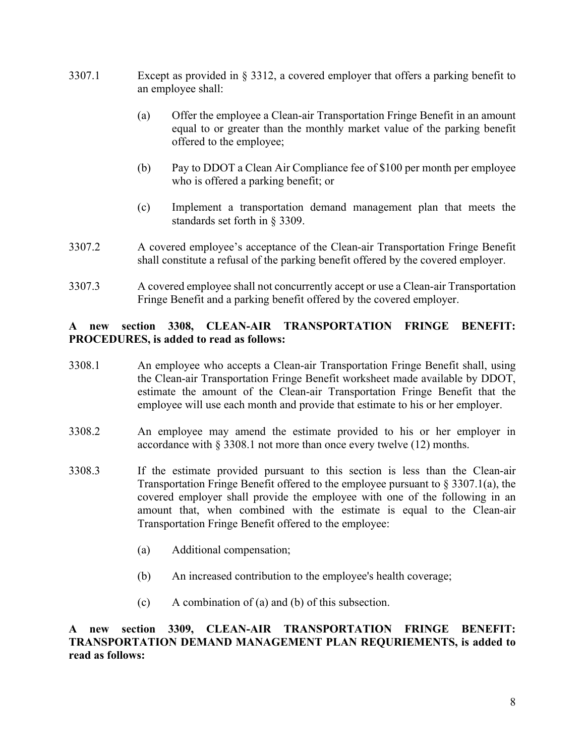- 3307.1 Except as provided in § 3312, a covered employer that offers a parking benefit to an employee shall:
	- (a) Offer the employee a Clean-air Transportation Fringe Benefit in an amount equal to or greater than the monthly market value of the parking benefit offered to the employee;
	- (b) Pay to DDOT a Clean Air Compliance fee of \$100 per month per employee who is offered a parking benefit; or
	- (c) Implement a transportation demand management plan that meets the standards set forth in § 3309.
- 3307.2 A covered employee's acceptance of the Clean-air Transportation Fringe Benefit shall constitute a refusal of the parking benefit offered by the covered employer.
- 3307.3 A covered employee shall not concurrently accept or use a Clean-air Transportation Fringe Benefit and a parking benefit offered by the covered employer.

### **A new section 3308, CLEAN-AIR TRANSPORTATION FRINGE BENEFIT: PROCEDURES, is added to read as follows:**

- 3308.1 An employee who accepts a Clean-air Transportation Fringe Benefit shall, using the Clean-air Transportation Fringe Benefit worksheet made available by DDOT, estimate the amount of the Clean-air Transportation Fringe Benefit that the employee will use each month and provide that estimate to his or her employer.
- 3308.2 An employee may amend the estimate provided to his or her employer in accordance with § 3308.1 not more than once every twelve (12) months.
- 3308.3 If the estimate provided pursuant to this section is less than the Clean-air Transportation Fringe Benefit offered to the employee pursuant to  $\S 3307.1(a)$ , the covered employer shall provide the employee with one of the following in an amount that, when combined with the estimate is equal to the Clean-air Transportation Fringe Benefit offered to the employee:
	- (a) Additional compensation;
	- (b) An increased contribution to the employee's health coverage;
	- (c) A combination of (a) and (b) of this subsection.

#### **A new section 3309, CLEAN-AIR TRANSPORTATION FRINGE BENEFIT: TRANSPORTATION DEMAND MANAGEMENT PLAN REQURIEMENTS, is added to read as follows:**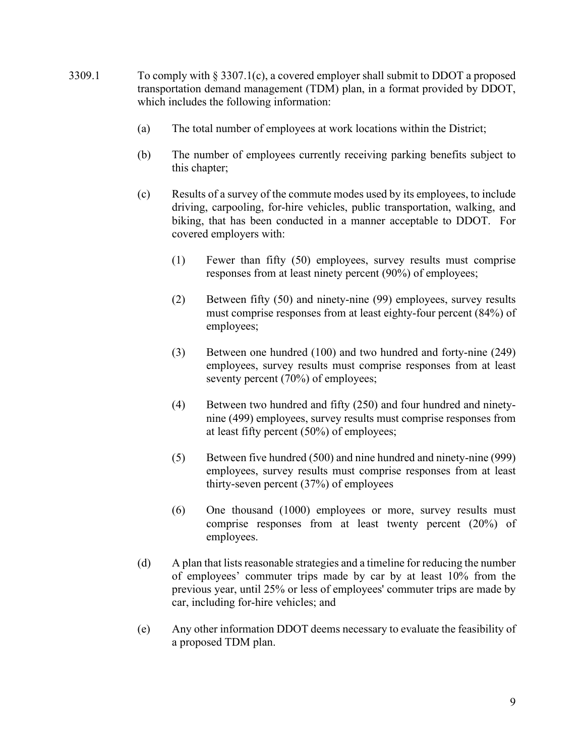- 3309.1 To comply with  $\S 3307.1(c)$ , a covered employer shall submit to DDOT a proposed transportation demand management (TDM) plan, in a format provided by DDOT, which includes the following information:
	- (a) The total number of employees at work locations within the District;
	- (b) The number of employees currently receiving parking benefits subject to this chapter;
	- (c) Results of a survey of the commute modes used by its employees, to include driving, carpooling, for-hire vehicles, public transportation, walking, and biking, that has been conducted in a manner acceptable to DDOT. For covered employers with:
		- (1) Fewer than fifty (50) employees, survey results must comprise responses from at least ninety percent (90%) of employees;
		- (2) Between fifty (50) and ninety-nine (99) employees, survey results must comprise responses from at least eighty-four percent (84%) of employees;
		- (3) Between one hundred (100) and two hundred and forty-nine (249) employees, survey results must comprise responses from at least seventy percent (70%) of employees;
		- (4) Between two hundred and fifty (250) and four hundred and ninetynine (499) employees, survey results must comprise responses from at least fifty percent (50%) of employees;
		- (5) Between five hundred (500) and nine hundred and ninety-nine (999) employees, survey results must comprise responses from at least thirty-seven percent (37%) of employees
		- (6) One thousand (1000) employees or more, survey results must comprise responses from at least twenty percent (20%) of employees.
	- (d) A plan that lists reasonable strategies and a timeline for reducing the number of employees' commuter trips made by car by at least 10% from the previous year, until 25% or less of employees' commuter trips are made by car, including for-hire vehicles; and
	- (e) Any other information DDOT deems necessary to evaluate the feasibility of a proposed TDM plan.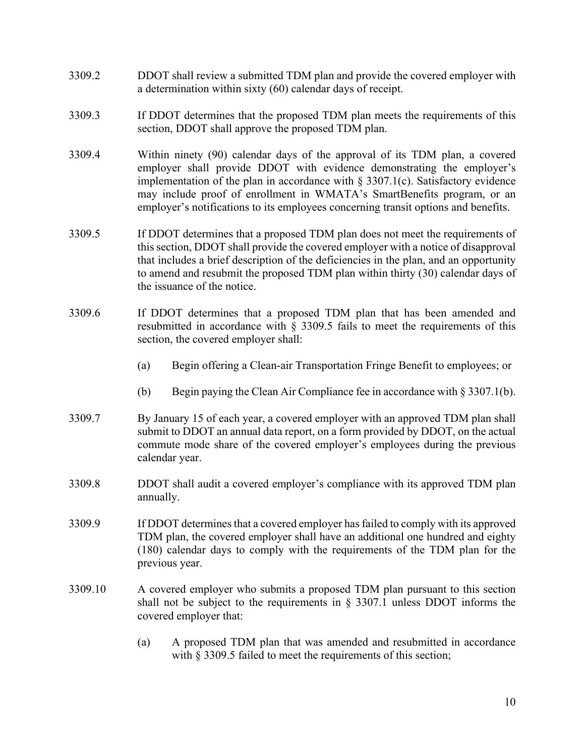- 3309.2 DDOT shall review a submitted TDM plan and provide the covered employer with a determination within sixty (60) calendar days of receipt.
- 3309.3 If DDOT determines that the proposed TDM plan meets the requirements of this section, DDOT shall approve the proposed TDM plan.
- 3309.4 Within ninety (90) calendar days of the approval of its TDM plan, a covered employer shall provide DDOT with evidence demonstrating the employer's implementation of the plan in accordance with  $\S 3307.1(c)$ . Satisfactory evidence may include proof of enrollment in WMATA's SmartBenefits program, or an employer's notifications to its employees concerning transit options and benefits.
- 3309.5 If DDOT determines that a proposed TDM plan does not meet the requirements of this section, DDOT shall provide the covered employer with a notice of disapproval that includes a brief description of the deficiencies in the plan, and an opportunity to amend and resubmit the proposed TDM plan within thirty (30) calendar days of the issuance of the notice.
- 3309.6 If DDOT determines that a proposed TDM plan that has been amended and resubmitted in accordance with § 3309.5 fails to meet the requirements of this section, the covered employer shall:
	- (a) Begin offering a Clean-air Transportation Fringe Benefit to employees; or
	- (b) Begin paying the Clean Air Compliance fee in accordance with § 3307.1(b).
- 3309.7 By January 15 of each year, a covered employer with an approved TDM plan shall submit to DDOT an annual data report, on a form provided by DDOT, on the actual commute mode share of the covered employer's employees during the previous calendar year.
- 3309.8 DDOT shall audit a covered employer's compliance with its approved TDM plan annually.
- 3309.9 If DDOT determines that a covered employer has failed to comply with its approved TDM plan, the covered employer shall have an additional one hundred and eighty (180) calendar days to comply with the requirements of the TDM plan for the previous year.
- 3309.10 A covered employer who submits a proposed TDM plan pursuant to this section shall not be subject to the requirements in § 3307.1 unless DDOT informs the covered employer that:
	- (a) A proposed TDM plan that was amended and resubmitted in accordance with § 3309.5 failed to meet the requirements of this section;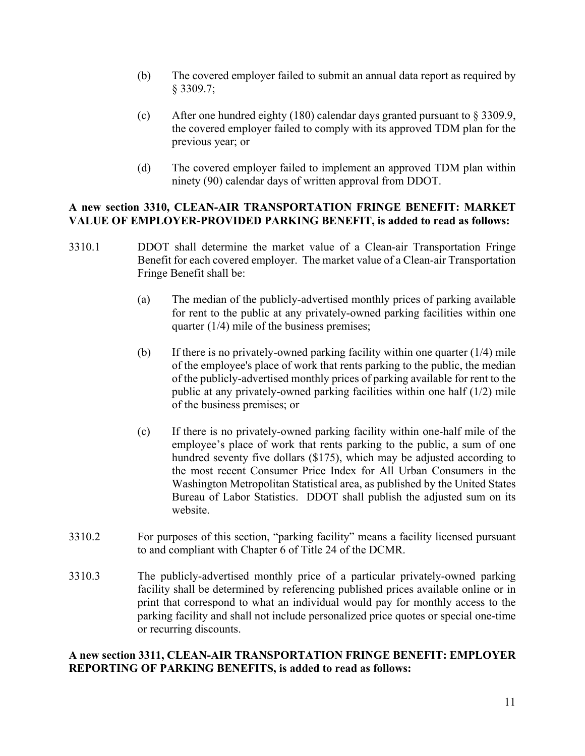- (b) The covered employer failed to submit an annual data report as required by § 3309.7;
- (c) After one hundred eighty (180) calendar days granted pursuant to § 3309.9, the covered employer failed to comply with its approved TDM plan for the previous year; or
- (d) The covered employer failed to implement an approved TDM plan within ninety (90) calendar days of written approval from DDOT.

#### **A new section 3310, CLEAN-AIR TRANSPORTATION FRINGE BENEFIT: MARKET VALUE OF EMPLOYER-PROVIDED PARKING BENEFIT, is added to read as follows:**

- 3310.1 DDOT shall determine the market value of a Clean-air Transportation Fringe Benefit for each covered employer. The market value of a Clean-air Transportation Fringe Benefit shall be:
	- (a) The median of the publicly-advertised monthly prices of parking available for rent to the public at any privately-owned parking facilities within one quarter (1/4) mile of the business premises;
	- (b) If there is no privately-owned parking facility within one quarter (1/4) mile of the employee's place of work that rents parking to the public, the median of the publicly-advertised monthly prices of parking available for rent to the public at any privately-owned parking facilities within one half (1/2) mile of the business premises; or
	- (c) If there is no privately-owned parking facility within one-half mile of the employee's place of work that rents parking to the public, a sum of one hundred seventy five dollars (\$175), which may be adjusted according to the most recent Consumer Price Index for All Urban Consumers in the Washington Metropolitan Statistical area, as published by the United States Bureau of Labor Statistics. DDOT shall publish the adjusted sum on its website.
- 3310.2 For purposes of this section, "parking facility" means a facility licensed pursuant to and compliant with Chapter 6 of Title 24 of the DCMR.
- 3310.3 The publicly-advertised monthly price of a particular privately-owned parking facility shall be determined by referencing published prices available online or in print that correspond to what an individual would pay for monthly access to the parking facility and shall not include personalized price quotes or special one-time or recurring discounts.

#### **A new section 3311, CLEAN-AIR TRANSPORTATION FRINGE BENEFIT: EMPLOYER REPORTING OF PARKING BENEFITS, is added to read as follows:**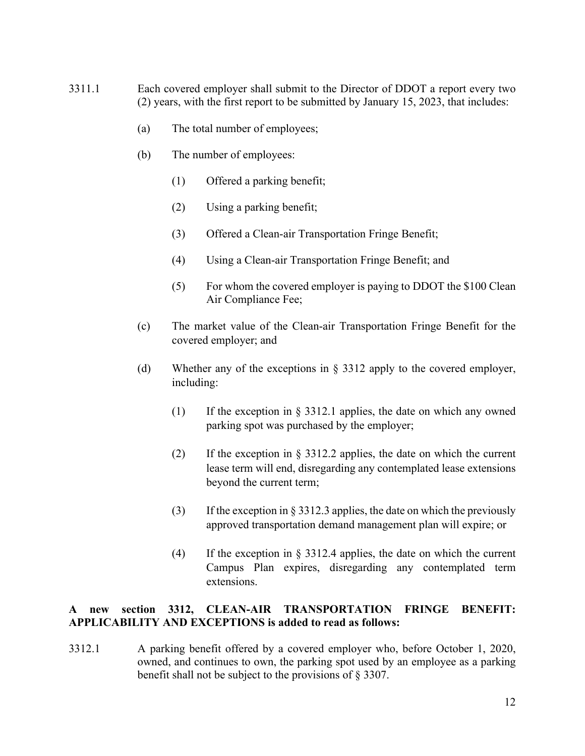- 3311.1 Each covered employer shall submit to the Director of DDOT a report every two (2) years, with the first report to be submitted by January 15, 2023, that includes:
	- (a) The total number of employees;
	- (b) The number of employees:
		- (1) Offered a parking benefit;
		- (2) Using a parking benefit;
		- (3) Offered a Clean-air Transportation Fringe Benefit;
		- (4) Using a Clean-air Transportation Fringe Benefit; and
		- (5) For whom the covered employer is paying to DDOT the \$100 Clean Air Compliance Fee;
	- (c) The market value of the Clean-air Transportation Fringe Benefit for the covered employer; and
	- (d) Whether any of the exceptions in § 3312 apply to the covered employer, including:
		- (1) If the exception in § 3312.1 applies, the date on which any owned parking spot was purchased by the employer;
		- (2) If the exception in § 3312.2 applies, the date on which the current lease term will end, disregarding any contemplated lease extensions beyond the current term;
		- (3) If the exception in § 3312.3 applies, the date on which the previously approved transportation demand management plan will expire; or
		- (4) If the exception in § 3312.4 applies, the date on which the current Campus Plan expires, disregarding any contemplated term extensions.

# **A new section 3312, CLEAN-AIR TRANSPORTATION FRINGE BENEFIT: APPLICABILITY AND EXCEPTIONS is added to read as follows:**

3312.1 A parking benefit offered by a covered employer who, before October 1, 2020, owned, and continues to own, the parking spot used by an employee as a parking benefit shall not be subject to the provisions of § 3307.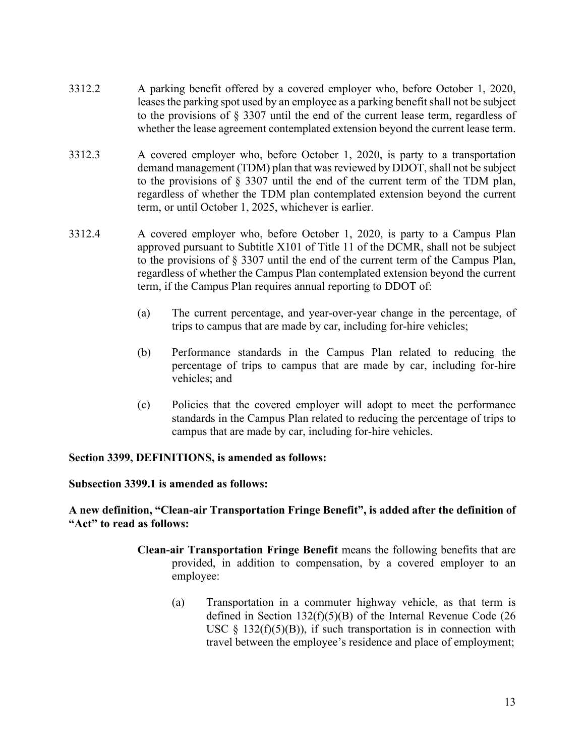- 3312.2 A parking benefit offered by a covered employer who, before October 1, 2020, leases the parking spot used by an employee as a parking benefit shall not be subject to the provisions of § 3307 until the end of the current lease term, regardless of whether the lease agreement contemplated extension beyond the current lease term.
- 3312.3 A covered employer who, before October 1, 2020, is party to a transportation demand management (TDM) plan that was reviewed by DDOT, shall not be subject to the provisions of § 3307 until the end of the current term of the TDM plan, regardless of whether the TDM plan contemplated extension beyond the current term, or until October 1, 2025, whichever is earlier.
- 3312.4 A covered employer who, before October 1, 2020, is party to a Campus Plan approved pursuant to Subtitle X101 of Title 11 of the DCMR, shall not be subject to the provisions of § 3307 until the end of the current term of the Campus Plan, regardless of whether the Campus Plan contemplated extension beyond the current term, if the Campus Plan requires annual reporting to DDOT of:
	- (a) The current percentage, and year-over-year change in the percentage, of trips to campus that are made by car, including for-hire vehicles;
	- (b) Performance standards in the Campus Plan related to reducing the percentage of trips to campus that are made by car, including for-hire vehicles; and
	- (c) Policies that the covered employer will adopt to meet the performance standards in the Campus Plan related to reducing the percentage of trips to campus that are made by car, including for-hire vehicles.

#### **Section 3399, DEFINITIONS, is amended as follows:**

#### **Subsection 3399.1 is amended as follows:**

#### **A new definition, "Clean-air Transportation Fringe Benefit", is added after the definition of "Act" to read as follows:**

- **Clean-air Transportation Fringe Benefit** means the following benefits that are provided, in addition to compensation, by a covered employer to an employee:
	- (a) Transportation in a commuter highway vehicle, as that term is defined in Section 132(f)(5)(B) of the Internal Revenue Code (26 USC  $\S$  132(f)(5)(B)), if such transportation is in connection with travel between the employee's residence and place of employment;